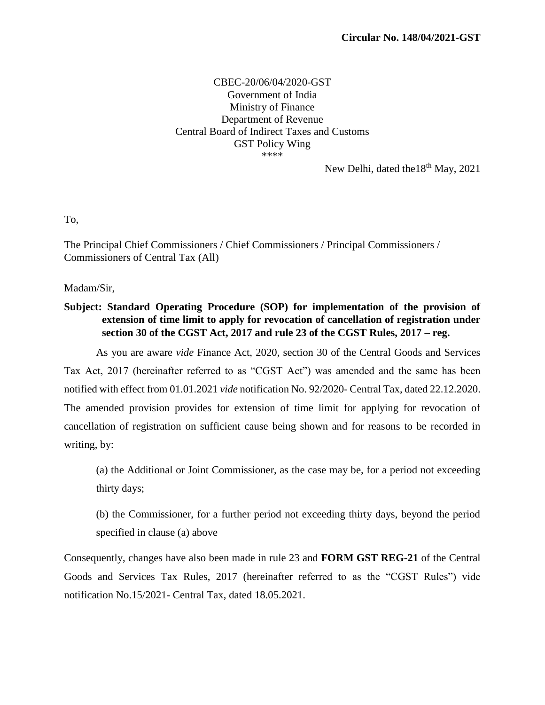## CBEC-20/06/04/2020-GST Government of India Ministry of Finance Department of Revenue Central Board of Indirect Taxes and Customs GST Policy Wing \*\*\*\*

New Delhi, dated the  $18<sup>th</sup>$  May, 2021

To,

The Principal Chief Commissioners / Chief Commissioners / Principal Commissioners / Commissioners of Central Tax (All)

Madam/Sir,

**Subject: Standard Operating Procedure (SOP) for implementation of the provision of extension of time limit to apply for revocation of cancellation of registration under section 30 of the CGST Act, 2017 and rule 23 of the CGST Rules, 2017 – reg.**

As you are aware *vide* Finance Act, 2020, section 30 of the Central Goods and Services Tax Act, 2017 (hereinafter referred to as "CGST Act") was amended and the same has been notified with effect from 01.01.2021 *vide* notification No. 92/2020- Central Tax, dated 22.12.2020. The amended provision provides for extension of time limit for applying for revocation of cancellation of registration on sufficient cause being shown and for reasons to be recorded in writing, by:

(a) the Additional or Joint Commissioner, as the case may be, for a period not exceeding thirty days;

(b) the Commissioner, for a further period not exceeding thirty days, beyond the period specified in clause (a) above

Consequently, changes have also been made in rule 23 and **FORM GST REG-21** of the Central Goods and Services Tax Rules, 2017 (hereinafter referred to as the "CGST Rules") vide notification No.15/2021- Central Tax, dated 18.05.2021.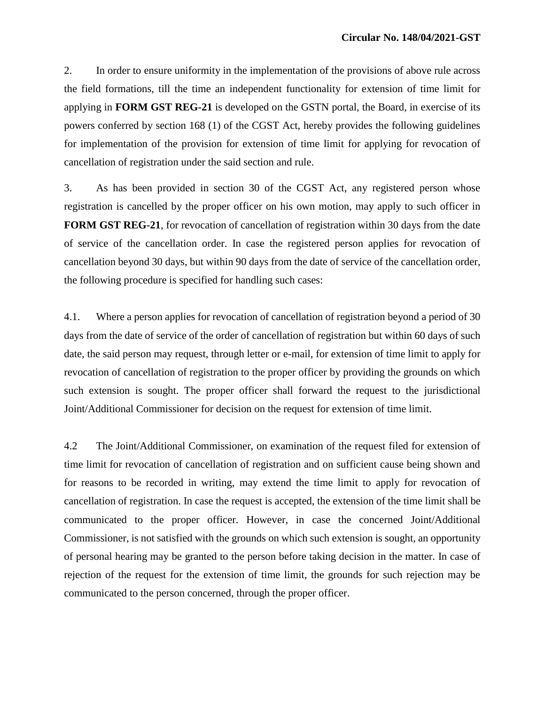2. In order to ensure uniformity in the implementation of the provisions of above rule across the field formations, till the time an independent functionality for extension of time limit for applying in **FORM GST REG-21** is developed on the GSTN portal, the Board, in exercise of its powers conferred by section 168 (1) of the CGST Act, hereby provides the following guidelines for implementation of the provision for extension of time limit for applying for revocation of cancellation of registration under the said section and rule.

3. As has been provided in section 30 of the CGST Act, any registered person whose registration is cancelled by the proper officer on his own motion, may apply to such officer in **FORM GST REG-21**, for revocation of cancellation of registration within 30 days from the date of service of the cancellation order. In case the registered person applies for revocation of cancellation beyond 30 days, but within 90 days from the date of service of the cancellation order, the following procedure is specified for handling such cases:

4.1. Where a person applies for revocation of cancellation of registration beyond a period of 30 days from the date of service of the order of cancellation of registration but within 60 days of such date, the said person may request, through letter or e-mail, for extension of time limit to apply for revocation of cancellation of registration to the proper officer by providing the grounds on which such extension is sought. The proper officer shall forward the request to the jurisdictional Joint/Additional Commissioner for decision on the request for extension of time limit.

4.2 The Joint/Additional Commissioner, on examination of the request filed for extension of time limit for revocation of cancellation of registration and on sufficient cause being shown and for reasons to be recorded in writing, may extend the time limit to apply for revocation of cancellation of registration. In case the request is accepted, the extension of the time limit shall be communicated to the proper officer. However, in case the concerned Joint/Additional Commissioner, is not satisfied with the grounds on which such extension is sought, an opportunity of personal hearing may be granted to the person before taking decision in the matter. In case of rejection of the request for the extension of time limit, the grounds for such rejection may be communicated to the person concerned, through the proper officer.